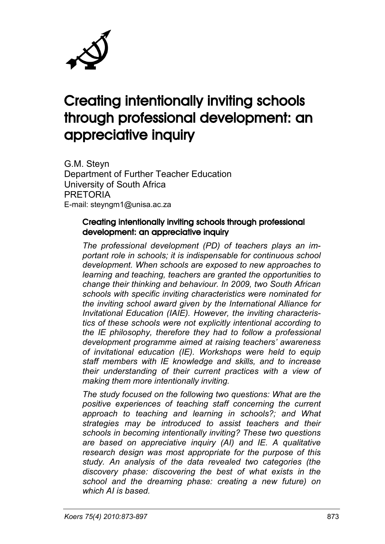

# Creating intentionally inviting schools through professional development: an appreciative inquiry

G.M. Steyn Department of Further Teacher Education University of South Africa PRETORIA E-mail: steyngm1@unisa.ac.za

#### Creating intentionally inviting schools through professional development: an appreciative inquiry

*The professional development (PD) of teachers plays an important role in schools; it is indispensable for continuous school development. When schools are exposed to new approaches to learning and teaching, teachers are granted the opportunities to change their thinking and behaviour. In 2009, two South African schools with specific inviting characteristics were nominated for the inviting school award given by the International Alliance for Invitational Education (IAIE). However, the inviting characteristics of these schools were not explicitly intentional according to the IE philosophy, therefore they had to follow a professional development programme aimed at raising teachers' awareness of invitational education (IE). Workshops were held to equip staff members with IE knowledge and skills, and to increase their understanding of their current practices with a view of making them more intentionally inviting.*

*The study focused on the following two questions: What are the positive experiences of teaching staff concerning the current approach to teaching and learning in schools?; and What strategies may be introduced to assist teachers and their schools in becoming intentionally inviting? These two questions are based on appreciative inquiry (AI) and IE. A qualitative research design was most appropriate for the purpose of this study. An analysis of the data revealed two categories (the discovery phase: discovering the best of what exists in the school and the dreaming phase: creating a new future) on which AI is based.*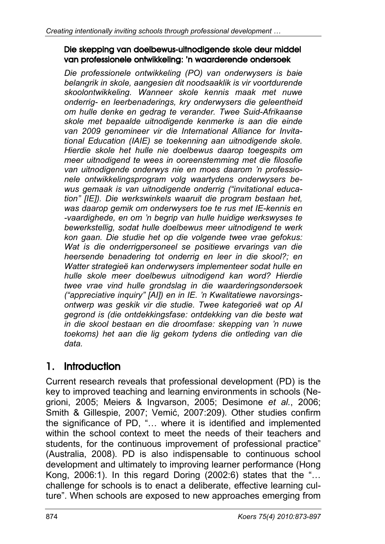#### Die skepping van doelbewus-uitnodigende skole deur middel van professionele ontwikkeling: 'n waarderende ondersoek

*Die professionele ontwikkeling (PO) van onderwysers is baie belangrik in skole, aangesien dit noodsaaklik is vir voortdurende skoolontwikkeling. Wanneer skole kennis maak met nuwe onderrig- en leerbenaderings, kry onderwysers die geleentheid om hulle denke en gedrag te verander. Twee Suid-Afrikaanse skole met bepaalde uitnodigende kenmerke is aan die einde van 2009 genomineer vir die International Alliance for Invitational Education (IAIE) se toekenning aan uitnodigende skole. Hierdie skole het hulle nie doelbewus daarop toegespits om meer uitnodigend te wees in ooreenstemming met die filosofie van uitnodigende onderwys nie en moes daarom 'n professionele ontwikkelingsprogram volg waartydens onderwysers bewus gemaak is van uitnodigende onderrig ("invitational education" [IE]). Die werkswinkels waaruit die program bestaan het, was daarop gemik om onderwysers toe te rus met IE-kennis en -vaardighede, en om 'n begrip van hulle huidige werkswyses te bewerkstellig, sodat hulle doelbewus meer uitnodigend te werk kon gaan. Die studie het op die volgende twee vrae gefokus: Wat is die onderrigpersoneel se positiewe ervarings van die heersende benadering tot onderrig en leer in die skool?; en Watter strategieë kan onderwysers implementeer sodat hulle en hulle skole meer doelbewus uitnodigend kan word? Hierdie twee vrae vind hulle grondslag in die waarderingsondersoek ("appreciative inquiry" [AI]) en in IE. 'n Kwalitatiewe navorsingsontwerp was geskik vir die studie. Twee kategorieë wat op AI gegrond is (die ontdekkingsfase: ontdekking van die beste wat in die skool bestaan en die droomfase: skepping van 'n nuwe toekoms) het aan die lig gekom tydens die ontleding van die data.*

# 1. Introduction

Current research reveals that professional development (PD) is the key to improved teaching and learning environments in schools (Negrioni, 2005; Meiers & Ingvarson, 2005; Desimone *et al.*, 2006; Smith & Gillespie, 2007; Vemić, 2007:209). Other studies confirm the significance of PD, "… where it is identified and implemented within the school context to meet the needs of their teachers and students, for the continuous improvement of professional practice" (Australia, 2008). PD is also indispensable to continuous school development and ultimately to improving learner performance (Hong Kong, 2006:1). In this regard Doring (2002:6) states that the "… challenge for schools is to enact a deliberate, effective learning culture". When schools are exposed to new approaches emerging from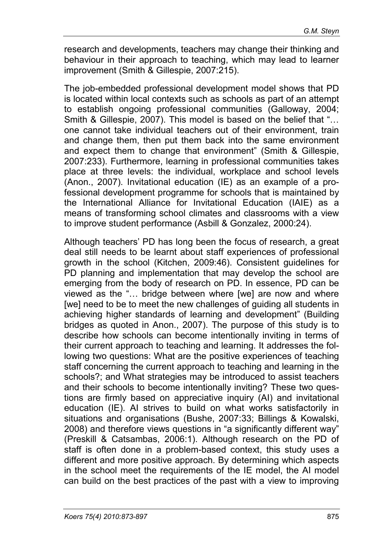research and developments, teachers may change their thinking and behaviour in their approach to teaching, which may lead to learner improvement (Smith & Gillespie, 2007:215).

The job-embedded professional development model shows that PD is located within local contexts such as schools as part of an attempt to establish ongoing professional communities (Galloway, 2004; Smith & Gillespie, 2007). This model is based on the belief that "… one cannot take individual teachers out of their environment, train and change them, then put them back into the same environment and expect them to change that environment" (Smith & Gillespie, 2007:233). Furthermore, learning in professional communities takes place at three levels: the individual, workplace and school levels (Anon., 2007). Invitational education (IE) as an example of a professional development programme for schools that is maintained by the International Alliance for Invitational Education (IAIE) as a means of transforming school climates and classrooms with a view to improve student performance (Asbill & Gonzalez, 2000:24).

Although teachers' PD has long been the focus of research, a great deal still needs to be learnt about staff experiences of professional growth in the school (Kitchen, 2009:46). Consistent guidelines for PD planning and implementation that may develop the school are emerging from the body of research on PD. In essence, PD can be viewed as the "… bridge between where [we] are now and where [we] need to be to meet the new challenges of guiding all students in achieving higher standards of learning and development" (Building bridges as quoted in Anon., 2007). The purpose of this study is to describe how schools can become intentionally inviting in terms of their current approach to teaching and learning. It addresses the following two questions: What are the positive experiences of teaching staff concerning the current approach to teaching and learning in the schools?; and What strategies may be introduced to assist teachers and their schools to become intentionally inviting? These two questions are firmly based on appreciative inquiry (AI) and invitational education (IE). AI strives to build on what works satisfactorily in situations and organisations (Bushe, 2007:33; Billings & Kowalski, 2008) and therefore views questions in "a significantly different way" (Preskill & Catsambas, 2006:1). Although research on the PD of staff is often done in a problem-based context, this study uses a different and more positive approach. By determining which aspects in the school meet the requirements of the IE model, the AI model can build on the best practices of the past with a view to improving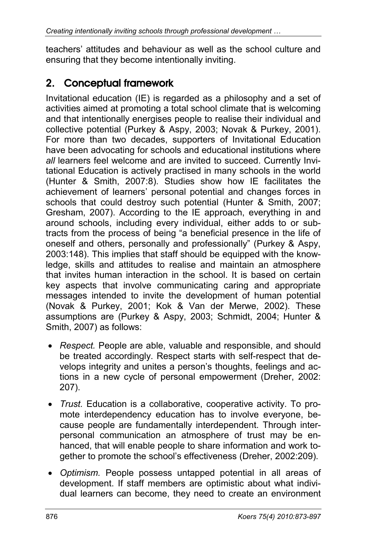teachers' attitudes and behaviour as well as the school culture and ensuring that they become intentionally inviting.

# 2. Conceptual framework

Invitational education (IE) is regarded as a philosophy and a set of activities aimed at promoting a total school climate that is welcoming and that intentionally energises people to realise their individual and collective potential (Purkey & Aspy, 2003; Novak & Purkey, 2001). For more than two decades, supporters of Invitational Education have been advocating for schools and educational institutions where *all* learners feel welcome and are invited to succeed. Currently Invitational Education is actively practised in many schools in the world (Hunter & Smith, 2007:8). Studies show how IE facilitates the achievement of learners' personal potential and changes forces in schools that could destroy such potential (Hunter & Smith, 2007; Gresham, 2007). According to the IE approach, everything in and around schools, including every individual, either adds to or subtracts from the process of being "a beneficial presence in the life of oneself and others, personally and professionally" (Purkey & Aspy, 2003:148). This implies that staff should be equipped with the knowledge, skills and attitudes to realise and maintain an atmosphere that invites human interaction in the school. It is based on certain key aspects that involve communicating caring and appropriate messages intended to invite the development of human potential (Novak & Purkey, 2001; Kok & Van der Merwe, 2002). These assumptions are (Purkey & Aspy, 2003; Schmidt, 2004; Hunter & Smith, 2007) as follows:

- *Respect.* People are able, valuable and responsible, and should be treated accordingly. Respect starts with self-respect that develops integrity and unites a person's thoughts, feelings and actions in a new cycle of personal empowerment (Dreher, 2002: 207).
- *Trust.* Education is a collaborative, cooperative activity. To promote interdependency education has to involve everyone, because people are fundamentally interdependent. Through interpersonal communication an atmosphere of trust may be enhanced, that will enable people to share information and work together to promote the school's effectiveness (Dreher, 2002:209).
- *Optimism.* People possess untapped potential in all areas of development. If staff members are optimistic about what individual learners can become, they need to create an environment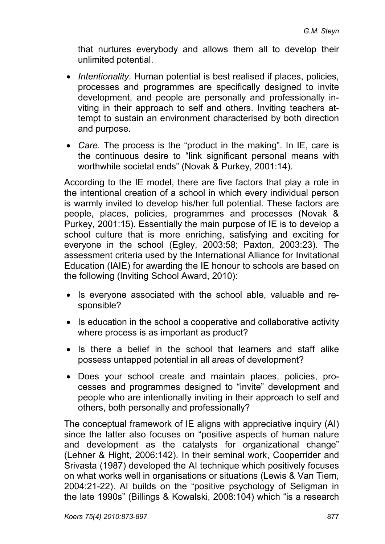that nurtures everybody and allows them all to develop their unlimited potential.

- *Intentionality.* Human potential is best realised if places, policies, processes and programmes are specifically designed to invite development, and people are personally and professionally inviting in their approach to self and others. Inviting teachers attempt to sustain an environment characterised by both direction and purpose.
- *Care.* The process is the "product in the making". In IE, care is the continuous desire to "link significant personal means with worthwhile societal ends" (Novak & Purkey, 2001:14).

According to the IE model, there are five factors that play a role in the intentional creation of a school in which every individual person is warmly invited to develop his/her full potential. These factors are people, places, policies, programmes and processes (Novak & Purkey, 2001:15). Essentially the main purpose of IE is to develop a school culture that is more enriching, satisfying and exciting for everyone in the school (Egley, 2003:58; Paxton, 2003:23). The assessment criteria used by the International Alliance for Invitational Education (IAIE) for awarding the IE honour to schools are based on the following (Inviting School Award, 2010):

- Is everyone associated with the school able, valuable and responsible?
- Is education in the school a cooperative and collaborative activity where process is as important as product?
- Is there a belief in the school that learners and staff alike possess untapped potential in all areas of development?
- Does your school create and maintain places, policies, processes and programmes designed to "invite" development and people who are intentionally inviting in their approach to self and others, both personally and professionally?

The conceptual framework of IE aligns with appreciative inquiry (AI) since the latter also focuses on "positive aspects of human nature and development as the catalysts for organizational change" (Lehner & Hight, 2006:142). In their seminal work, Cooperrider and Srivasta (1987) developed the AI technique which positively focuses on what works well in organisations or situations (Lewis & Van Tiem, 2004:21-22). AI builds on the "positive psychology of Seligman in the late 1990s" (Billings & Kowalski, 2008:104) which "is a research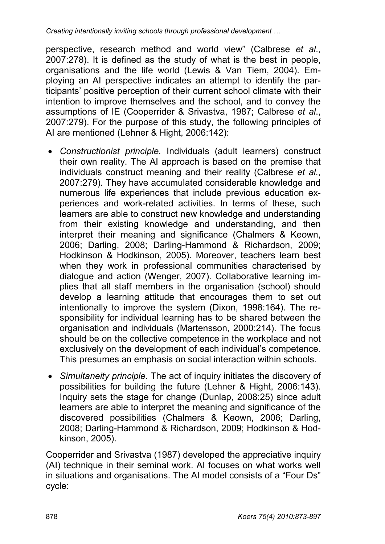perspective, research method and world view" (Calbrese *et al*., 2007:278). It is defined as the study of what is the best in people, organisations and the life world (Lewis & Van Tiem, 2004). Employing an AI perspective indicates an attempt to identify the participants' positive perception of their current school climate with their intention to improve themselves and the school, and to convey the assumptions of IE (Cooperrider & Srivastva, 1987; Calbrese *et al*., 2007:279). For the purpose of this study, the following principles of AI are mentioned (Lehner & Hight, 2006:142):

- *Constructionist principle.* Individuals (adult learners) construct their own reality. The AI approach is based on the premise that individuals construct meaning and their reality (Calbrese *et al.*, 2007:279). They have accumulated considerable knowledge and numerous life experiences that include previous education experiences and work-related activities. In terms of these, such learners are able to construct new knowledge and understanding from their existing knowledge and understanding, and then interpret their meaning and significance (Chalmers & Keown, 2006; Darling, 2008; Darling-Hammond & Richardson, 2009; Hodkinson & Hodkinson, 2005). Moreover, teachers learn best when they work in professional communities characterised by dialogue and action (Wenger, 2007). Collaborative learning implies that all staff members in the organisation (school) should develop a learning attitude that encourages them to set out intentionally to improve the system (Dixon, 1998:164). The responsibility for individual learning has to be shared between the organisation and individuals (Martensson, 2000:214). The focus should be on the collective competence in the workplace and not exclusively on the development of each individual's competence. This presumes an emphasis on social interaction within schools.
- *Simultaneity principle.* The act of inquiry initiates the discovery of possibilities for building the future (Lehner & Hight, 2006:143). Inquiry sets the stage for change (Dunlap, 2008:25) since adult learners are able to interpret the meaning and significance of the discovered possibilities (Chalmers & Keown, 2006; Darling, 2008; Darling-Hammond & Richardson, 2009; Hodkinson & Hodkinson, 2005).

Cooperrider and Srivastva (1987) developed the appreciative inquiry (AI) technique in their seminal work. AI focuses on what works well in situations and organisations. The AI model consists of a "Four Ds" cycle: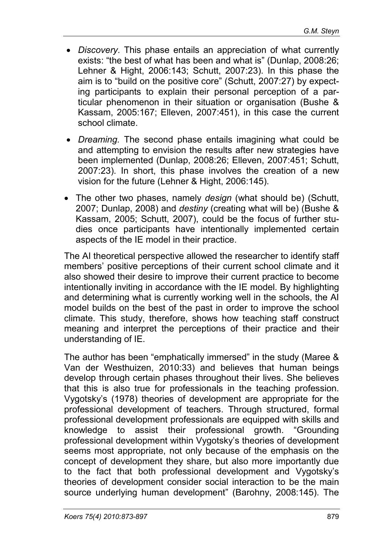- *Discovery.* This phase entails an appreciation of what currently exists: "the best of what has been and what is" (Dunlap, 2008:26; Lehner & Hight, 2006:143; Schutt, 2007:23). In this phase the aim is to "build on the positive core" (Schutt, 2007:27) by expecting participants to explain their personal perception of a particular phenomenon in their situation or organisation (Bushe & Kassam, 2005:167; Elleven, 2007:451), in this case the current school climate.
- *Dreaming.* The second phase entails imagining what could be and attempting to envision the results after new strategies have been implemented (Dunlap, 2008:26; Elleven, 2007:451; Schutt, 2007:23). In short, this phase involves the creation of a new vision for the future (Lehner & Hight, 2006:145).
- The other two phases, namely *design* (what should be) (Schutt, 2007; Dunlap, 2008) and *destiny* (creating what will be) (Bushe & Kassam, 2005; Schutt, 2007), could be the focus of further studies once participants have intentionally implemented certain aspects of the IE model in their practice.

The AI theoretical perspective allowed the researcher to identify staff members' positive perceptions of their current school climate and it also showed their desire to improve their current practice to become intentionally inviting in accordance with the IE model. By highlighting and determining what is currently working well in the schools, the AI model builds on the best of the past in order to improve the school climate. This study, therefore, shows how teaching staff construct meaning and interpret the perceptions of their practice and their understanding of IE.

The author has been "emphatically immersed" in the study (Maree & Van der Westhuizen, 2010:33) and believes that human beings develop through certain phases throughout their lives. She believes that this is also true for professionals in the teaching profession. Vygotsky's (1978) theories of development are appropriate for the professional development of teachers. Through structured, formal professional development professionals are equipped with skills and knowledge to assist their professional growth. "Grounding professional development within Vygotsky's theories of development seems most appropriate, not only because of the emphasis on the concept of development they share, but also more importantly due to the fact that both professional development and Vygotsky's theories of development consider social interaction to be the main source underlying human development" (Barohny, 2008:145). The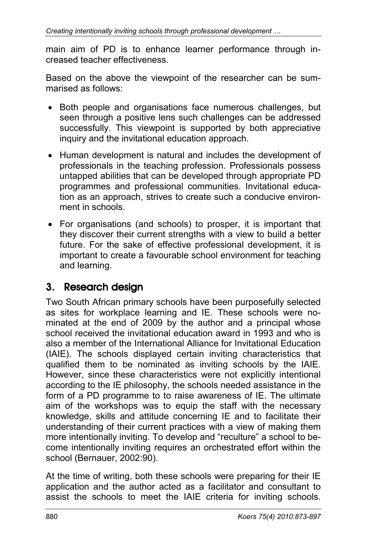main aim of PD is to enhance learner performance through increased teacher effectiveness.

Based on the above the viewpoint of the researcher can be summarised as follows:

- Both people and organisations face numerous challenges, but seen through a positive lens such challenges can be addressed successfully. This viewpoint is supported by both appreciative inquiry and the invitational education approach.
- Human development is natural and includes the development of professionals in the teaching profession. Professionals possess untapped abilities that can be developed through appropriate PD programmes and professional communities. Invitational education as an approach, strives to create such a conducive environment in schools.
- For organisations (and schools) to prosper, it is important that they discover their current strengths with a view to build a better future. For the sake of effective professional development, it is important to create a favourable school environment for teaching and learning.

## 3. Research design

Two South African primary schools have been purposefully selected as sites for workplace learning and IE. These schools were nominated at the end of 2009 by the author and a principal whose school received the invitational education award in 1993 and who is also a member of the International Alliance for Invitational Education (IAIE). The schools displayed certain inviting characteristics that qualified them to be nominated as inviting schools by the IAIE. However, since these characteristics were not explicitly intentional according to the IE philosophy, the schools needed assistance in the form of a PD programme to to raise awareness of IE. The ultimate aim of the workshops was to equip the staff with the necessary knowledge, skills and attitude concerning IE and to facilitate their understanding of their current practices with a view of making them more intentionally inviting. To develop and "reculture" a school to become intentionally inviting requires an orchestrated effort within the school (Bernauer, 2002:90).

At the time of writing, both these schools were preparing for their IE application and the author acted as a facilitator and consultant to assist the schools to meet the IAIE criteria for inviting schools.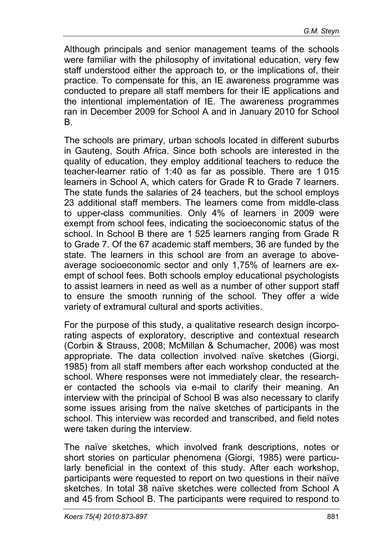Although principals and senior management teams of the schools were familiar with the philosophy of invitational education, very few staff understood either the approach to, or the implications of, their practice. To compensate for this, an IE awareness programme was conducted to prepare all staff members for their IE applications and the intentional implementation of IE. The awareness programmes ran in December 2009 for School A and in January 2010 for School B.

The schools are primary, urban schools located in different suburbs in Gauteng, South Africa. Since both schools are interested in the quality of education, they employ additional teachers to reduce the teacher-learner ratio of 1:40 as far as possible. There are 1 015 learners in School A, which caters for Grade R to Grade 7 learners. The state funds the salaries of 24 teachers, but the school employs 23 additional staff members. The learners come from middle-class to upper-class communities. Only 4% of learners in 2009 were exempt from school fees, indicating the socioeconomic status of the school. In School B there are 1 525 learners ranging from Grade R to Grade 7. Of the 67 academic staff members, 36 are funded by the state. The learners in this school are from an average to aboveaverage socioeconomic sector and only 1,75% of learners are exempt of school fees. Both schools employ educational psychologists to assist learners in need as well as a number of other support staff to ensure the smooth running of the school. They offer a wide variety of extramural cultural and sports activities.

For the purpose of this study, a qualitative research design incorporating aspects of exploratory, descriptive and contextual research (Corbin & Strauss, 2008; McMillan & Schumacher, 2006) was most appropriate. The data collection involved naïve sketches (Giorgi, 1985) from all staff members after each workshop conducted at the school. Where responses were not immediately clear, the researcher contacted the schools via e-mail to clarify their meaning. An interview with the principal of School B was also necessary to clarify some issues arising from the naïve sketches of participants in the school. This interview was recorded and transcribed, and field notes were taken during the interview.

The naïve sketches, which involved frank descriptions, notes or short stories on particular phenomena (Giorgi, 1985) were particularly beneficial in the context of this study. After each workshop, participants were requested to report on two questions in their naïve sketches. In total 38 naïve sketches were collected from School A and 45 from School B. The participants were required to respond to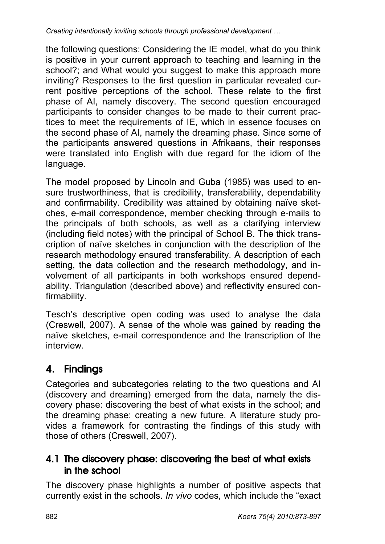the following questions: Considering the IE model, what do you think is positive in your current approach to teaching and learning in the school?; and What would you suggest to make this approach more inviting? Responses to the first question in particular revealed current positive perceptions of the school. These relate to the first phase of AI, namely discovery. The second question encouraged participants to consider changes to be made to their current practices to meet the requirements of IE, which in essence focuses on the second phase of AI, namely the dreaming phase. Since some of the participants answered questions in Afrikaans, their responses were translated into English with due regard for the idiom of the language.

The model proposed by Lincoln and Guba (1985) was used to ensure trustworthiness, that is credibility, transferability, dependability and confirmability. Credibility was attained by obtaining naïve sketches, e-mail correspondence, member checking through e-mails to the principals of both schools, as well as a clarifying interview (including field notes) with the principal of School B. The thick transcription of naïve sketches in conjunction with the description of the research methodology ensured transferability. A description of each setting, the data collection and the research methodology, and involvement of all participants in both workshops ensured dependability. Triangulation (described above) and reflectivity ensured confirmability.

Tesch's descriptive open coding was used to analyse the data (Creswell, 2007). A sense of the whole was gained by reading the naïve sketches, e-mail correspondence and the transcription of the interview.

# 4. Findings

Categories and subcategories relating to the two questions and AI (discovery and dreaming) emerged from the data, namely the discovery phase: discovering the best of what exists in the school; and the dreaming phase: creating a new future. A literature study provides a framework for contrasting the findings of this study with those of others (Creswell, 2007).

### 4.1 The discovery phase: discovering the best of what exists in the school

The discovery phase highlights a number of positive aspects that currently exist in the schools. *In vivo* codes, which include the "exact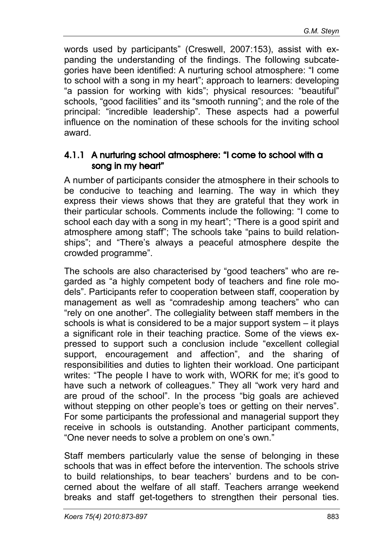words used by participants" (Creswell, 2007:153), assist with expanding the understanding of the findings. The following subcategories have been identified: A nurturing school atmosphere: "I come to school with a song in my heart"; approach to learners: developing "a passion for working with kids"; physical resources: "beautiful" schools, "good facilities" and its "smooth running"; and the role of the principal: "incredible leadership". These aspects had a powerful influence on the nomination of these schools for the inviting school award.

### 4.1.1 A nurturing school atmosphere: "I come to school with a song in my heart"

A number of participants consider the atmosphere in their schools to be conducive to teaching and learning. The way in which they express their views shows that they are grateful that they work in their particular schools. Comments include the following: "I come to school each day with a song in my heart"; "There is a good spirit and atmosphere among staff"; The schools take "pains to build relationships"; and "There's always a peaceful atmosphere despite the crowded programme".

The schools are also characterised by "good teachers" who are regarded as "a highly competent body of teachers and fine role models". Participants refer to cooperation between staff, cooperation by management as well as "comradeship among teachers" who can "rely on one another". The collegiality between staff members in the schools is what is considered to be a major support system – it plays a significant role in their teaching practice. Some of the views expressed to support such a conclusion include "excellent collegial support, encouragement and affection", and the sharing of responsibilities and duties to lighten their workload. One participant writes: "The people I have to work with, WORK for me; it's good to have such a network of colleagues." They all "work very hard and are proud of the school". In the process "big goals are achieved without stepping on other people's toes or getting on their nerves". For some participants the professional and managerial support they receive in schools is outstanding. Another participant comments, "One never needs to solve a problem on one's own."

Staff members particularly value the sense of belonging in these schools that was in effect before the intervention. The schools strive to build relationships, to bear teachers' burdens and to be concerned about the welfare of all staff. Teachers arrange weekend breaks and staff get-togethers to strengthen their personal ties.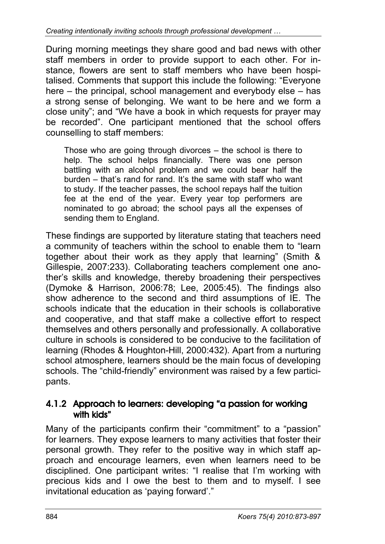During morning meetings they share good and bad news with other staff members in order to provide support to each other. For instance, flowers are sent to staff members who have been hospitalised. Comments that support this include the following: "Everyone here – the principal, school management and everybody else – has a strong sense of belonging. We want to be here and we form a close unity"; and "We have a book in which requests for prayer may be recorded". One participant mentioned that the school offers counselling to staff members:

Those who are going through divorces – the school is there to help. The school helps financially. There was one person battling with an alcohol problem and we could bear half the burden – that's rand for rand. It's the same with staff who want to study. If the teacher passes, the school repays half the tuition fee at the end of the year. Every year top performers are nominated to go abroad; the school pays all the expenses of sending them to England.

These findings are supported by literature stating that teachers need a community of teachers within the school to enable them to "learn together about their work as they apply that learning" (Smith & Gillespie, 2007:233). Collaborating teachers complement one another's skills and knowledge, thereby broadening their perspectives (Dymoke & Harrison, 2006:78; Lee, 2005:45). The findings also show adherence to the second and third assumptions of IE. The schools indicate that the education in their schools is collaborative and cooperative, and that staff make a collective effort to respect themselves and others personally and professionally. A collaborative culture in schools is considered to be conducive to the facilitation of learning (Rhodes & Houghton-Hill, 2000:432). Apart from a nurturing school atmosphere, learners should be the main focus of developing schools. The "child-friendly" environment was raised by a few participants.

### 4.1.2 Approach to learners: developing "a passion for working with kids"

Many of the participants confirm their "commitment" to a "passion" for learners. They expose learners to many activities that foster their personal growth. They refer to the positive way in which staff approach and encourage learners, even when learners need to be disciplined. One participant writes: "I realise that I'm working with precious kids and I owe the best to them and to myself. I see invitational education as 'paying forward'."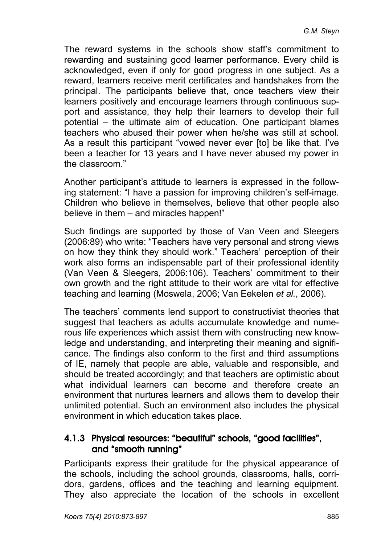The reward systems in the schools show staff's commitment to rewarding and sustaining good learner performance. Every child is acknowledged, even if only for good progress in one subject. As a reward, learners receive merit certificates and handshakes from the principal. The participants believe that, once teachers view their learners positively and encourage learners through continuous support and assistance, they help their learners to develop their full potential – the ultimate aim of education. One participant blames teachers who abused their power when he/she was still at school. As a result this participant "vowed never ever [to] be like that. I've been a teacher for 13 years and I have never abused my power in the classroom."

Another participant's attitude to learners is expressed in the following statement: "I have a passion for improving children's self-image. Children who believe in themselves, believe that other people also believe in them – and miracles happen!"

Such findings are supported by those of Van Veen and Sleegers (2006:89) who write: "Teachers have very personal and strong views on how they think they should work." Teachers' perception of their work also forms an indispensable part of their professional identity (Van Veen & Sleegers, 2006:106). Teachers' commitment to their own growth and the right attitude to their work are vital for effective teaching and learning (Moswela, 2006; Van Eekelen *et al.*, 2006).

The teachers' comments lend support to constructivist theories that suggest that teachers as adults accumulate knowledge and numerous life experiences which assist them with constructing new knowledge and understanding, and interpreting their meaning and significance. The findings also conform to the first and third assumptions of IE, namely that people are able, valuable and responsible, and should be treated accordingly; and that teachers are optimistic about what individual learners can become and therefore create an environment that nurtures learners and allows them to develop their unlimited potential. Such an environment also includes the physical environment in which education takes place.

### 4.1.3 Physical resources: "beautiful" schools, "good facilities", and "smooth running"

Participants express their gratitude for the physical appearance of the schools, including the school grounds, classrooms, halls, corridors, gardens, offices and the teaching and learning equipment. They also appreciate the location of the schools in excellent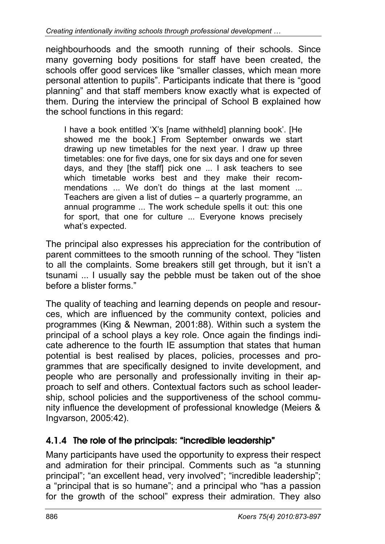neighbourhoods and the smooth running of their schools. Since many governing body positions for staff have been created, the schools offer good services like "smaller classes, which mean more personal attention to pupils". Participants indicate that there is "good planning" and that staff members know exactly what is expected of them. During the interview the principal of School B explained how the school functions in this regard:

I have a book entitled 'X's [name withheld] planning book'. [He showed me the book.] From September onwards we start drawing up new timetables for the next year. I draw up three timetables: one for five days, one for six days and one for seven days, and they [the staff] pick one ... I ask teachers to see which timetable works best and they make their recommendations ... We don't do things at the last moment ... Teachers are given a list of duties – a quarterly programme, an annual programme ... The work schedule spells it out: this one for sport, that one for culture ... Everyone knows precisely what's expected.

The principal also expresses his appreciation for the contribution of parent committees to the smooth running of the school. They "listen to all the complaints. Some breakers still get through, but it isn't a tsunami ... I usually say the pebble must be taken out of the shoe before a blister forms."

The quality of teaching and learning depends on people and resources, which are influenced by the community context, policies and programmes (King & Newman, 2001:88). Within such a system the principal of a school plays a key role. Once again the findings indicate adherence to the fourth IE assumption that states that human potential is best realised by places, policies, processes and programmes that are specifically designed to invite development, and people who are personally and professionally inviting in their approach to self and others. Contextual factors such as school leadership, school policies and the supportiveness of the school community influence the development of professional knowledge (Meiers & Ingvarson, 2005:42).

### 4.1.4 The role of the principals: "incredible leadership"

Many participants have used the opportunity to express their respect and admiration for their principal. Comments such as "a stunning principal"; "an excellent head, very involved"; "incredible leadership"; a "principal that is so humane"; and a principal who "has a passion for the growth of the school" express their admiration. They also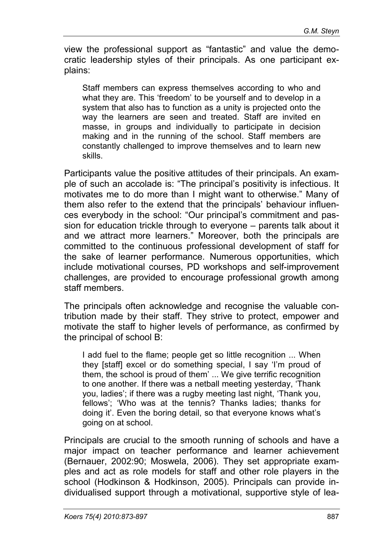view the professional support as "fantastic" and value the democratic leadership styles of their principals. As one participant explains:

Staff members can express themselves according to who and what they are. This 'freedom' to be yourself and to develop in a system that also has to function as a unity is projected onto the way the learners are seen and treated. Staff are invited en masse, in groups and individually to participate in decision making and in the running of the school. Staff members are constantly challenged to improve themselves and to learn new skills.

Participants value the positive attitudes of their principals. An example of such an accolade is: "The principal's positivity is infectious. It motivates me to do more than I might want to otherwise." Many of them also refer to the extend that the principals' behaviour influences everybody in the school: "Our principal's commitment and passion for education trickle through to everyone – parents talk about it and we attract more learners." Moreover, both the principals are committed to the continuous professional development of staff for the sake of learner performance. Numerous opportunities, which include motivational courses, PD workshops and self-improvement challenges, are provided to encourage professional growth among staff members.

The principals often acknowledge and recognise the valuable contribution made by their staff. They strive to protect, empower and motivate the staff to higher levels of performance, as confirmed by the principal of school B:

I add fuel to the flame; people get so little recognition ... When they [staff] excel or do something special, I say 'I'm proud of them, the school is proud of them' ... We give terrific recognition to one another. If there was a netball meeting yesterday, 'Thank you, ladies'; if there was a rugby meeting last night, 'Thank you, fellows'; 'Who was at the tennis? Thanks ladies; thanks for doing it'. Even the boring detail, so that everyone knows what's going on at school.

Principals are crucial to the smooth running of schools and have a major impact on teacher performance and learner achievement (Bernauer, 2002:90; Moswela, 2006). They set appropriate examples and act as role models for staff and other role players in the school (Hodkinson & Hodkinson, 2005). Principals can provide individualised support through a motivational, supportive style of lea-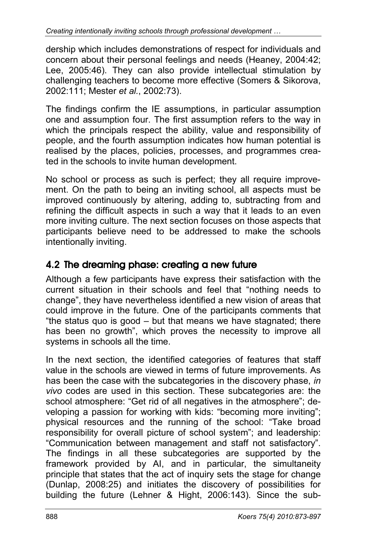dership which includes demonstrations of respect for individuals and concern about their personal feelings and needs (Heaney, 2004:42; Lee, 2005:46). They can also provide intellectual stimulation by challenging teachers to become more effective (Somers & Sikorova, 2002:111; Mester *et al.*, 2002:73).

The findings confirm the IE assumptions, in particular assumption one and assumption four. The first assumption refers to the way in which the principals respect the ability, value and responsibility of people, and the fourth assumption indicates how human potential is realised by the places, policies, processes, and programmes created in the schools to invite human development.

No school or process as such is perfect; they all require improvement. On the path to being an inviting school, all aspects must be improved continuously by altering, adding to, subtracting from and refining the difficult aspects in such a way that it leads to an even more inviting culture. The next section focuses on those aspects that participants believe need to be addressed to make the schools intentionally inviting.

### 4.2 The dreaming phase: creating a new future

Although a few participants have express their satisfaction with the current situation in their schools and feel that "nothing needs to change", they have nevertheless identified a new vision of areas that could improve in the future. One of the participants comments that "the status quo is good – but that means we have stagnated; there has been no growth", which proves the necessity to improve all systems in schools all the time.

In the next section, the identified categories of features that staff value in the schools are viewed in terms of future improvements. As has been the case with the subcategories in the discovery phase, *in vivo* codes are used in this section. These subcategories are: the school atmosphere: "Get rid of all negatives in the atmosphere"; developing a passion for working with kids: "becoming more inviting"; physical resources and the running of the school: "Take broad responsibility for overall picture of school system"; and leadership: "Communication between management and staff not satisfactory". The findings in all these subcategories are supported by the framework provided by AI, and in particular, the simultaneity principle that states that the act of inquiry sets the stage for change (Dunlap, 2008:25) and initiates the discovery of possibilities for building the future (Lehner & Hight, 2006:143). Since the sub-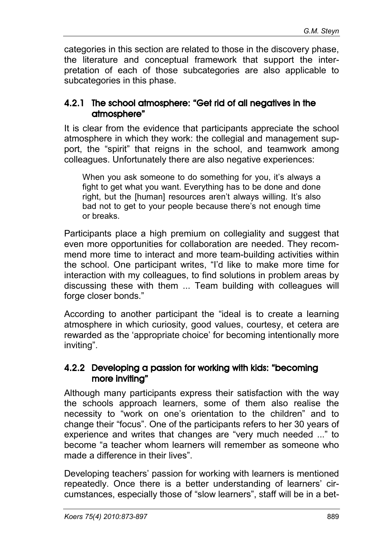categories in this section are related to those in the discovery phase, the literature and conceptual framework that support the interpretation of each of those subcategories are also applicable to subcategories in this phase.

### 4.2.1 The school atmosphere: "Get rid of all negatives in the atmosphere"

It is clear from the evidence that participants appreciate the school atmosphere in which they work: the collegial and management support, the "spirit" that reigns in the school, and teamwork among colleagues. Unfortunately there are also negative experiences:

When you ask someone to do something for you, it's always a fight to get what you want. Everything has to be done and done right, but the [human] resources aren't always willing. It's also bad not to get to your people because there's not enough time or breaks.

Participants place a high premium on collegiality and suggest that even more opportunities for collaboration are needed. They recommend more time to interact and more team-building activities within the school. One participant writes, "I'd like to make more time for interaction with my colleagues, to find solutions in problem areas by discussing these with them ... Team building with colleagues will forge closer bonds."

According to another participant the "ideal is to create a learning atmosphere in which curiosity, good values, courtesy, et cetera are rewarded as the 'appropriate choice' for becoming intentionally more inviting".

### 4.2.2 Developing a passion for working with kids: "becoming more inviting"

Although many participants express their satisfaction with the way the schools approach learners, some of them also realise the necessity to "work on one's orientation to the children" and to change their "focus". One of the participants refers to her 30 years of experience and writes that changes are "very much needed ..." to become "a teacher whom learners will remember as someone who made a difference in their lives".

Developing teachers' passion for working with learners is mentioned repeatedly. Once there is a better understanding of learners' circumstances, especially those of "slow learners", staff will be in a bet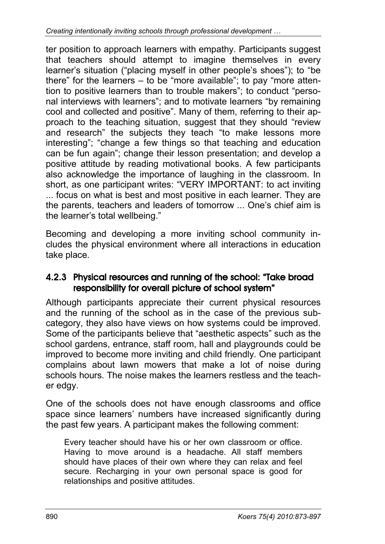ter position to approach learners with empathy. Participants suggest that teachers should attempt to imagine themselves in every learner's situation ("placing myself in other people's shoes"); to "be there" for the learners – to be "more available"; to pay "more attention to positive learners than to trouble makers"; to conduct "personal interviews with learners"; and to motivate learners "by remaining cool and collected and positive". Many of them, referring to their approach to the teaching situation, suggest that they should "review and research" the subjects they teach "to make lessons more interesting"; "change a few things so that teaching and education can be fun again"; change their lesson presentation; and develop a positive attitude by reading motivational books. A few participants also acknowledge the importance of laughing in the classroom. In short, as one participant writes: "VERY IMPORTANT: to act inviting ... focus on what is best and most positive in each learner. They are the parents, teachers and leaders of tomorrow ... One's chief aim is the learner's total wellbeing."

Becoming and developing a more inviting school community includes the physical environment where all interactions in education take place.

### 4.2.3 Physical resources and running of the school: "Take broad responsibility for overall picture of school system"

Although participants appreciate their current physical resources and the running of the school as in the case of the previous subcategory, they also have views on how systems could be improved. Some of the participants believe that "aesthetic aspects" such as the school gardens, entrance, staff room, hall and playgrounds could be improved to become more inviting and child friendly. One participant complains about lawn mowers that make a lot of noise during schools hours. The noise makes the learners restless and the teacher edgy.

One of the schools does not have enough classrooms and office space since learners' numbers have increased significantly during the past few years. A participant makes the following comment:

Every teacher should have his or her own classroom or office. Having to move around is a headache. All staff members should have places of their own where they can relax and feel secure. Recharging in your own personal space is good for relationships and positive attitudes.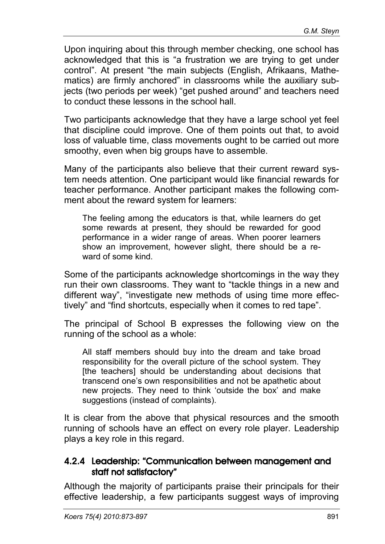Upon inquiring about this through member checking, one school has acknowledged that this is "a frustration we are trying to get under control". At present "the main subjects (English, Afrikaans, Mathematics) are firmly anchored" in classrooms while the auxiliary subjects (two periods per week) "get pushed around" and teachers need to conduct these lessons in the school hall.

Two participants acknowledge that they have a large school yet feel that discipline could improve. One of them points out that, to avoid loss of valuable time, class movements ought to be carried out more smoothy, even when big groups have to assemble.

Many of the participants also believe that their current reward system needs attention. One participant would like financial rewards for teacher performance. Another participant makes the following comment about the reward system for learners:

The feeling among the educators is that, while learners do get some rewards at present, they should be rewarded for good performance in a wider range of areas. When poorer learners show an improvement, however slight, there should be a reward of some kind.

Some of the participants acknowledge shortcomings in the way they run their own classrooms. They want to "tackle things in a new and different way", "investigate new methods of using time more effectively" and "find shortcuts, especially when it comes to red tape".

The principal of School B expresses the following view on the running of the school as a whole:

All staff members should buy into the dream and take broad responsibility for the overall picture of the school system. They [the teachers] should be understanding about decisions that transcend one's own responsibilities and not be apathetic about new projects. They need to think 'outside the box' and make suggestions (instead of complaints).

It is clear from the above that physical resources and the smooth running of schools have an effect on every role player. Leadership plays a key role in this regard.

### 4.2.4 Leadership: "Communication between management and staff not satisfactory"

Although the majority of participants praise their principals for their effective leadership, a few participants suggest ways of improving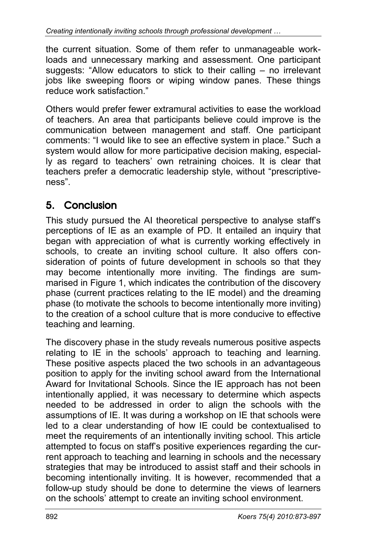the current situation. Some of them refer to unmanageable workloads and unnecessary marking and assessment. One participant suggests: "Allow educators to stick to their calling – no irrelevant jobs like sweeping floors or wiping window panes. These things reduce work satisfaction."

Others would prefer fewer extramural activities to ease the workload of teachers. An area that participants believe could improve is the communication between management and staff. One participant comments: "I would like to see an effective system in place." Such a system would allow for more participative decision making, especially as regard to teachers' own retraining choices. It is clear that teachers prefer a democratic leadership style, without "prescriptiveness".

# 5. Conclusion

This study pursued the AI theoretical perspective to analyse staff's perceptions of IE as an example of PD. It entailed an inquiry that began with appreciation of what is currently working effectively in schools, to create an inviting school culture. It also offers consideration of points of future development in schools so that they may become intentionally more inviting. The findings are summarised in Figure 1, which indicates the contribution of the discovery phase (current practices relating to the IE model) and the dreaming phase (to motivate the schools to become intentionally more inviting) to the creation of a school culture that is more conducive to effective teaching and learning.

The discovery phase in the study reveals numerous positive aspects relating to IE in the schools' approach to teaching and learning. These positive aspects placed the two schools in an advantageous position to apply for the inviting school award from the International Award for Invitational Schools. Since the IE approach has not been intentionally applied, it was necessary to determine which aspects needed to be addressed in order to align the schools with the assumptions of IE. It was during a workshop on IE that schools were led to a clear understanding of how IE could be contextualised to meet the requirements of an intentionally inviting school. This article attempted to focus on staff's positive experiences regarding the current approach to teaching and learning in schools and the necessary strategies that may be introduced to assist staff and their schools in becoming intentionally inviting. It is however, recommended that a follow-up study should be done to determine the views of learners on the schools' attempt to create an inviting school environment.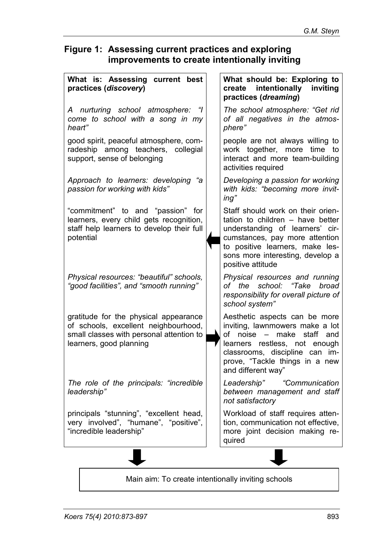### **Figure 1: Assessing current practices and exploring improvements to create intentionally inviting**

| What is: Assessing current best<br>practices (discovery)                                                                                             | What should be: Exploring to<br>intentionally<br>inviting<br>create<br>practices (dreaming)                                                                                                                                            |
|------------------------------------------------------------------------------------------------------------------------------------------------------|----------------------------------------------------------------------------------------------------------------------------------------------------------------------------------------------------------------------------------------|
| A nurturing school atmosphere:<br>come to school with a song in my<br>heart"                                                                         | The school atmosphere: "Get rid<br>of all negatives in the atmos-<br>phere"                                                                                                                                                            |
| good spirit, peaceful atmosphere, com-<br>radeship among teachers, collegial<br>support, sense of belonging                                          | people are not always willing to<br>work together, more<br>time<br>to<br>interact and more team-building<br>activities required                                                                                                        |
| Approach to learners: developing<br>"a<br>passion for working with kids"                                                                             | Developing a passion for working<br>with kids: "becoming more invit-<br>ing"                                                                                                                                                           |
| "commitment" to and "passion" for<br>learners, every child gets recognition,<br>staff help learners to develop their full<br>potential               | Staff should work on their orien-<br>tation to children - have better<br>understanding of learners' cir-<br>cumstances, pay more attention<br>to positive learners, make les-<br>sons more interesting, develop a<br>positive attitude |
| Physical resources: "beautiful" schools,<br>"good facilities", and "smooth running"                                                                  | Physical resources and running<br>of the<br>school: "Take<br>broad<br>responsibility for overall picture of<br>school system"                                                                                                          |
| gratitude for the physical appearance<br>of schools, excellent neighbourhood,<br>small classes with personal attention to<br>learners, good planning | Aesthetic aspects can be more<br>inviting, lawnmowers make a lot<br>of noise – make<br>staff and<br>learners restless, not enough<br>classrooms, discipline can im-<br>prove, "Tackle things in a new<br>and different way"            |
| The role of the principals: "incredible<br>leadership"                                                                                               | "Communication<br>Leadership"<br>between management and staff<br>not satisfactory                                                                                                                                                      |
| principals "stunning", "excellent head,<br>very involved", "humane", "positive",<br>"incredible leadership"                                          | Workload of staff requires atten-<br>tion, communication not effective,<br>more joint decision making re-<br>quired                                                                                                                    |
|                                                                                                                                                      |                                                                                                                                                                                                                                        |

Main aim: To create intentionally inviting schools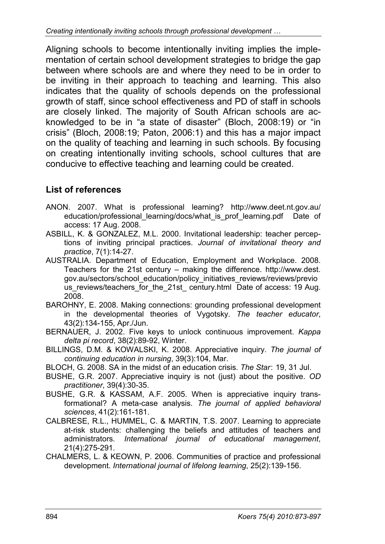Aligning schools to become intentionally inviting implies the implementation of certain school development strategies to bridge the gap between where schools are and where they need to be in order to be inviting in their approach to teaching and learning. This also indicates that the quality of schools depends on the professional growth of staff, since school effectiveness and PD of staff in schools are closely linked. The majority of South African schools are acknowledged to be in "a state of disaster" (Bloch, 2008:19) or "in crisis" (Bloch, 2008:19; Paton, 2006:1) and this has a major impact on the quality of teaching and learning in such schools. By focusing on creating intentionally inviting schools, school cultures that are conducive to effective teaching and learning could be created.

### **List of references**

- ANON. 2007. What is professional learning? http://www.deet.nt.gov.au/ education/professional learning/docs/what is prof learning.pdf Date of access: 17 Aug. 2008.
- ASBILL, K. & GONZALEZ, M.L. 2000. Invitational leadership: teacher perceptions of inviting principal practices. *Journal of invitational theory and practice*, 7(1):14-27.
- AUSTRALIA. Department of Education, Employment and Workplace. 2008. Teachers for the 21st century – making the difference. http://www.dest. gov.au/sectors/school\_education/policy\_initiatives\_reviews/reviews/previo us reviews/teachers for the 21st century.html Date of access: 19 Aug. 2008.
- BAROHNY, E. 2008. Making connections: grounding professional development in the developmental theories of Vygotsky. *The teacher educator*, 43(2):134-155, Apr./Jun.
- BERNAUER, J. 2002. Five keys to unlock continuous improvement. *Kappa delta pi record*, 38(2):89-92, Winter.
- BILLINGS, D.M. & KOWALSKI, K. 2008. Appreciative inquiry. *The journal of continuing education in nursing*, 39(3):104, Mar.
- BLOCH, G. 2008. SA in the midst of an education crisis. *The Star*: 19, 31 Jul.
- BUSHE, G.R. 2007. Appreciative inquiry is not (just) about the positive. *OD practitioner*, 39(4):30-35.
- BUSHE, G.R. & KASSAM, A.F. 2005. When is appreciative inquiry transformational? A meta-case analysis. *The journal of applied behavioral sciences*, 41(2):161-181.
- CALBRESE, R.L., HUMMEL, C. & MARTIN, T.S. 2007. Learning to appreciate at-risk students: challenging the beliefs and attitudes of teachers and administrators. *International journal of educational management*, 21(4):275-291.
- CHALMERS, L. & KEOWN, P. 2006. Communities of practice and professional development. *International journal of lifelong learning*, 25(2):139-156.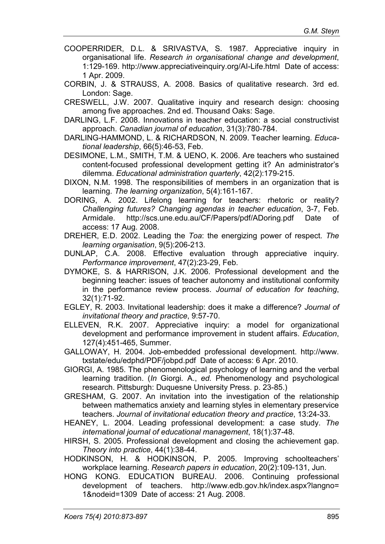- COOPERRIDER, D.L. & SRIVASTVA, S. 1987. Appreciative inquiry in organisational life. *Research in organisational change and development*, 1:129-169. http://www.appreciativeinquiry.org/AI-Life.html Date of access: 1 Apr. 2009.
- CORBIN, J. & STRAUSS, A. 2008. Basics of qualitative research. 3rd ed. London: Sage.
- CRESWELL, J.W. 2007. Qualitative inquiry and research design: choosing among five approaches. 2nd ed. Thousand Oaks: Sage.
- DARLING, L.F. 2008. Innovations in teacher education: a social constructivist approach. *Canadian journal of education*, 31(3):780-784.
- DARLING-HAMMOND, L. & RICHARDSON, N. 2009. Teacher learning. *Educational leadership*, 66(5):46-53, Feb.
- DESIMONE, L.M., SMITH, T.M. & UENO, K. 2006. Are teachers who sustained content-focused professional development getting it? An administrator's dilemma. *Educational administration quarterly*, 42(2):179-215.
- DIXON, N.M. 1998. The responsibilities of members in an organization that is learning. *The learning organization*, 5(4):161-167.
- DORING, A. 2002. Lifelong learning for teachers: rhetoric or reality? *Challenging futures? Changing agendas in teacher education*, 3-7, Feb. Armidale. http://scs.une.edu.au/CF/Papers/pdf/ADoring.pdf Date of access: 17 Aug. 2008.
- DREHER, E.D. 2002. Leading the *Toa*: the energizing power of respect. *The learning organisation*, 9(5):206-213.
- DUNLAP, C.A. 2008. Effective evaluation through appreciative inquiry. *Performance improvement*, 47(2):23-29, Feb.
- DYMOKE, S. & HARRISON, J.K. 2006. Professional development and the beginning teacher: issues of teacher autonomy and institutional conformity in the performance review process. *Journal of education for teaching*, 32(1):71-92.
- EGLEY, R. 2003. Invitational leadership: does it make a difference? *Journal of invitational theory and practice*, 9:57-70.
- ELLEVEN, R.K. 2007. Appreciative inquiry: a model for organizational development and performance improvement in student affairs. *Education*, 127(4):451-465, Summer.
- GALLOWAY, H. 2004. Job-embedded professional development. http://www. txstate/edu/edphd/PDF/jobpd.pdf Date of access: 6 Apr. 2010.
- GIORGI, A. 1985. The phenomenological psychology of learning and the verbal learning tradition. (*In* Giorgi*.* A., *ed.* Phenomenology and psychological research. Pittsburgh: Duquesne University Press. p. 23-85.)
- GRESHAM, G. 2007. An invitation into the investigation of the relationship between mathematics anxiety and learning styles in elementary preservice teachers. *Journal of invitational education theory and practice*, 13:24-33.
- HEANEY, L. 2004. Leading professional development: a case study. *The international journal of educational management*, 18(1):37-48.
- HIRSH, S. 2005. Professional development and closing the achievement gap. *Theory into practice*, 44(1):38-44.
- HODKINSON, H. & HODKINSON, P. 2005. Improving schoolteachers' workplace learning. *Research papers in education*, 20(2):109-131, Jun.
- HONG KONG. EDUCATION BUREAU. 2006. Continuing professional development of teachers. http://www.edb.gov.hk/index.aspx?langno= 1&nodeid=1309 Date of access: 21 Aug. 2008.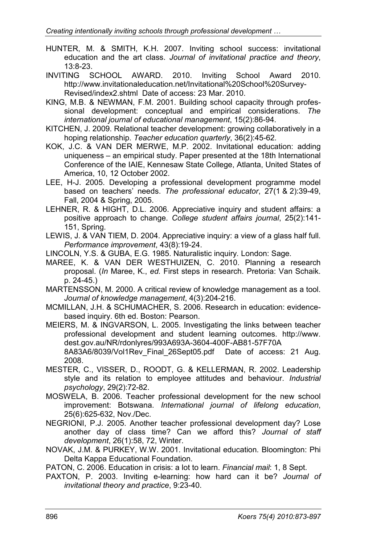- HUNTER, M. & SMITH, K.H. 2007. Inviting school success: invitational education and the art class. *Journal of invitational practice and theory*, 13:8-23.
- INVITING SCHOOL AWARD. 2010. Inviting School Award 2010. http://www.invitationaleducation.net/Invitational%20School%20Survey-Revised/index2.shtml Date of access: 23 Mar. 2010.
- KING, M.B. & NEWMAN, F.M. 2001. Building school capacity through professional development: conceptual and empirical considerations. *The international journal of educational management*, 15(2):86-94.
- KITCHEN, J. 2009. Relational teacher development: growing collaboratively in a hoping relationship. *Teacher education quarterly*, 36(2):45-62*.*
- KOK, J.C. & VAN DER MERWE, M.P. 2002. Invitational education: adding uniqueness – an empirical study. Paper presented at the 18th International Conference of the IAIE, Kennesaw State College, Atlanta, United States of America, 10, 12 October 2002.
- LEE, H-J. 2005. Developing a professional development programme model based on teachers' needs. *The professional educator*, 27(1 & 2):39-49, Fall, 2004 & Spring, 2005.
- LEHNER, R. & HIGHT, D.L. 2006. Appreciative inquiry and student affairs: a positive approach to change. *College student affairs journal*, 25(2):141- 151, Spring.
- LEWIS, J. & VAN TIEM, D. 2004. Appreciative inquiry: a view of a glass half full. *Performance improvement*, 43(8):19-24.
- LINCOLN, Y.S. & GUBA, E.G. 1985. Naturalistic inquiry*.* London: Sage*.*
- MAREE, K. & VAN DER WESTHUIZEN, C. 2010. Planning a research proposal. (*In* Maree, K., *ed.* First steps in research. Pretoria: Van Schaik. p. 24-45.)
- MARTENSSON, M. 2000. A critical review of knowledge management as a tool. *Journal of knowledge management*, 4(3):204-216.
- MCMILLAN, J.H. & SCHUMACHER, S. 2006. Research in education: evidencebased inquiry. 6th ed. Boston: Pearson.
- MEIERS, M. & INGVARSON, L. 2005. Investigating the links between teacher professional development and student learning outcomes. http://www. dest.gov.au/NR/rdonlyres/993A693A-3604-400F-AB81-57F70A 8A83A6/8039/Vol1Rev Final 26Sept05.pdf Date of access: 21 Aug. 2008.
- MESTER, C., VISSER, D., ROODT, G. & KELLERMAN, R. 2002. Leadership style and its relation to employee attitudes and behaviour. *Industrial psychology*, 29(2):72-82.
- MOSWELA, B. 2006. Teacher professional development for the new school improvement: Botswana. *International journal of lifelong education*, 25(6):625-632, Nov./Dec.
- NEGRIONI, P.J. 2005. Another teacher professional development day? Lose another day of class time? Can we afford this? *Journal of staff development*, 26(1):58, 72, Winter.
- NOVAK, J.M. & PURKEY, W.W. 2001. Invitational education*.* Bloomington: Phi Delta Kappa Educational Foundation.

PATON, C. 2006. Education in crisis: a lot to learn. *Financial mail*: 1, 8 Sept.

PAXTON, P. 2003. Inviting e-learning: how hard can it be? *Journal of invitational theory and practice*, 9:23-40.